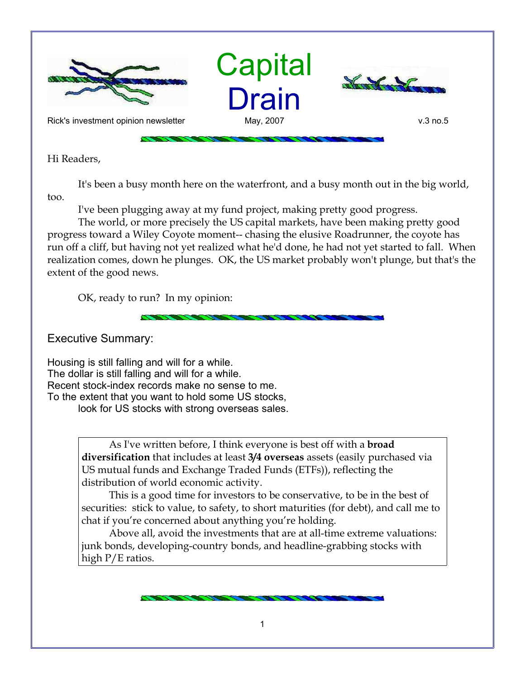

Hi Readers,

It's been a busy month here on the waterfront, and a busy month out in the big world, too.

I've been plugging away at my fund project, making pretty good progress.

The world, or more precisely the US capital markets, have been making pretty good progress toward a Wiley Coyote moment-- chasing the elusive Roadrunner, the coyote has run off a cliff, but having not yet realized what he'd done, he had not yet started to fall. When realization comes, down he plunges. OK, the US market probably won't plunge, but that's the extent of the good news.

OK, ready to run? In my opinion:

Executive Summary:

Housing is still falling and will for a while. The dollar is still falling and will for a while. Recent stock-index records make no sense to me. To the extent that you want to hold some US stocks, look for US stocks with strong overseas sales.

> As I've written before, I think everyone is best off with a **broad diversification** that includes at least **3/4 overseas** assets (easily purchased via US mutual funds and Exchange Traded Funds (ETFs)), reflecting the distribution of world economic activity.

This is a good time for investors to be conservative, to be in the best of securities: stick to value, to safety, to short maturities (for debt), and call me to chat if you're concerned about anything you're holding.

Above all, avoid the investments that are at all-time extreme valuations: junk bonds, developing-country bonds, and headline-grabbing stocks with high P/E ratios.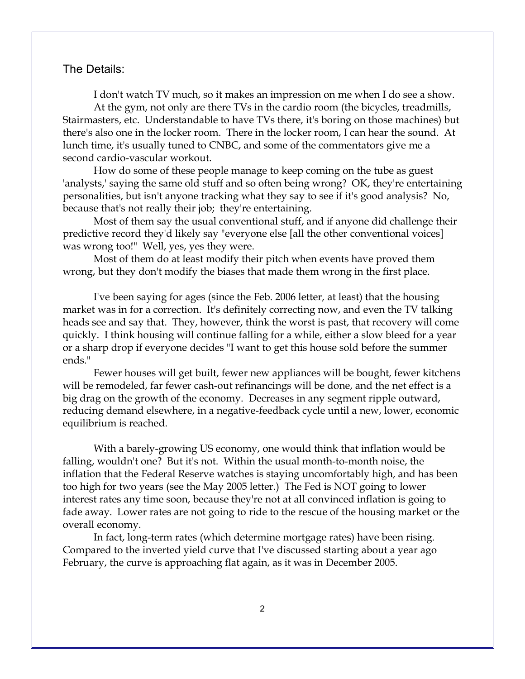## The Details:

I don't watch TV much, so it makes an impression on me when I do see a show. At the gym, not only are there TVs in the cardio room (the bicycles, treadmills, Stairmasters, etc. Understandable to have TVs there, it's boring on those machines) but there's also one in the locker room. There in the locker room, I can hear the sound. At lunch time, it's usually tuned to CNBC, and some of the commentators give me a second cardio-vascular workout.

How do some of these people manage to keep coming on the tube as guest 'analysts,' saying the same old stuff and so often being wrong? OK, they're entertaining personalities, but isn't anyone tracking what they say to see if it's good analysis? No, because that's not really their job; they're entertaining.

Most of them say the usual conventional stuff, and if anyone did challenge their predictive record they'd likely say "everyone else [all the other conventional voices] was wrong too!" Well, yes, yes they were.

Most of them do at least modify their pitch when events have proved them wrong, but they don't modify the biases that made them wrong in the first place.

I've been saying for ages (since the Feb. 2006 letter, at least) that the housing market was in for a correction. It's definitely correcting now, and even the TV talking heads see and say that. They, however, think the worst is past, that recovery will come quickly. I think housing will continue falling for a while, either a slow bleed for a year or a sharp drop if everyone decides "I want to get this house sold before the summer ends."

Fewer houses will get built, fewer new appliances will be bought, fewer kitchens will be remodeled, far fewer cash-out refinancings will be done, and the net effect is a big drag on the growth of the economy. Decreases in any segment ripple outward, reducing demand elsewhere, in a negative-feedback cycle until a new, lower, economic equilibrium is reached.

With a barely-growing US economy, one would think that inflation would be falling, wouldn't one? But it's not. Within the usual month-to-month noise, the inflation that the Federal Reserve watches is staying uncomfortably high, and has been too high for two years (see the May 2005 letter.) The Fed is NOT going to lower interest rates any time soon, because they're not at all convinced inflation is going to fade away. Lower rates are not going to ride to the rescue of the housing market or the overall economy.

In fact, long-term rates (which determine mortgage rates) have been rising. Compared to the inverted yield curve that I've discussed starting about a year ago February, the curve is approaching flat again, as it was in December 2005.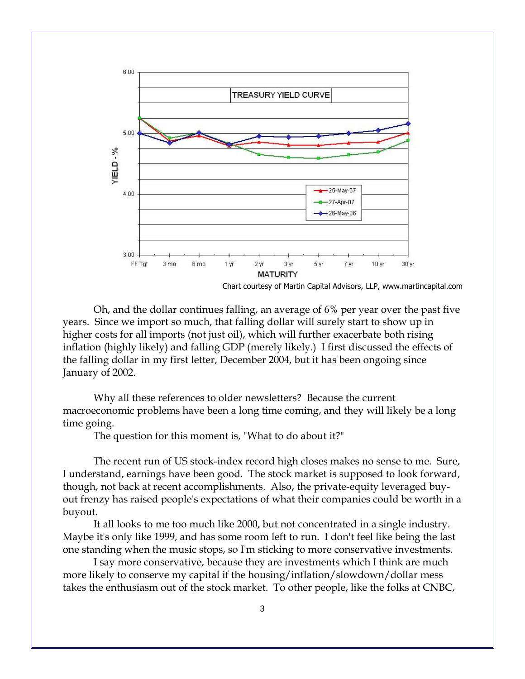

Oh, and the dollar continues falling, an average of 6% per year over the past five years. Since we import so much, that falling dollar will surely start to show up in higher costs for all imports (not just oil), which will further exacerbate both rising inflation (highly likely) and falling GDP (merely likely.) I first discussed the effects of the falling dollar in my first letter, December 2004, but it has been ongoing since

January of 2002.

Why all these references to older newsletters? Because the current macroeconomic problems have been a long time coming, and they will likely be a long time going.

The question for this moment is, "What to do about it?"

The recent run of US stock-index record high closes makes no sense to me. Sure, I understand, earnings have been good. The stock market is supposed to look forward, though, not back at recent accomplishments. Also, the private-equity leveraged buyout frenzy has raised people's expectations of what their companies could be worth in a buyout.

It all looks to me too much like 2000, but not concentrated in a single industry. Maybe it's only like 1999, and has some room left to run. I don't feel like being the last one standing when the music stops, so I'm sticking to more conservative investments.

I say more conservative, because they are investments which I think are much more likely to conserve my capital if the housing/inflation/slowdown/dollar mess takes the enthusiasm out of the stock market. To other people, like the folks at CNBC,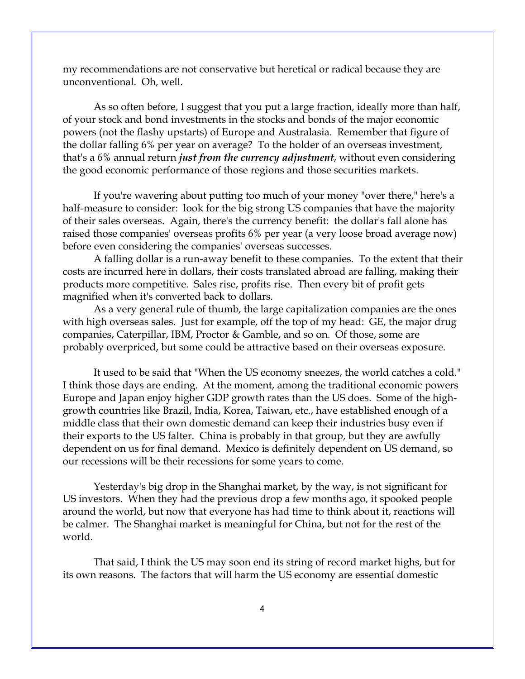my recommendations are not conservative but heretical or radical because they are unconventional. Oh, well.

As so often before, I suggest that you put a large fraction, ideally more than half, of your stock and bond investments in the stocks and bonds of the major economic powers (not the flashy upstarts) of Europe and Australasia. Remember that figure of the dollar falling 6% per year on average? To the holder of an overseas investment, that's a 6% annual return *just from the currency adjustment*, without even considering the good economic performance of those regions and those securities markets.

If you're wavering about putting too much of your money "over there," here's a half-measure to consider: look for the big strong US companies that have the majority of their sales overseas. Again, there's the currency benefit: the dollar's fall alone has raised those companies' overseas profits 6% per year (a very loose broad average now) before even considering the companies' overseas successes.

A falling dollar is a run-away benefit to these companies. To the extent that their costs are incurred here in dollars, their costs translated abroad are falling, making their products more competitive. Sales rise, profits rise. Then every bit of profit gets magnified when it's converted back to dollars.

As a very general rule of thumb, the large capitalization companies are the ones with high overseas sales. Just for example, off the top of my head: GE, the major drug companies, Caterpillar, IBM, Proctor & Gamble, and so on. Of those, some are probably overpriced, but some could be attractive based on their overseas exposure.

It used to be said that "When the US economy sneezes, the world catches a cold." I think those days are ending. At the moment, among the traditional economic powers Europe and Japan enjoy higher GDP growth rates than the US does. Some of the highgrowth countries like Brazil, India, Korea, Taiwan, etc., have established enough of a middle class that their own domestic demand can keep their industries busy even if their exports to the US falter. China is probably in that group, but they are awfully dependent on us for final demand. Mexico is definitely dependent on US demand, so our recessions will be their recessions for some years to come.

Yesterday's big drop in the Shanghai market, by the way, is not significant for US investors. When they had the previous drop a few months ago, it spooked people around the world, but now that everyone has had time to think about it, reactions will be calmer. The Shanghai market is meaningful for China, but not for the rest of the world.

That said, I think the US may soon end its string of record market highs, but for its own reasons. The factors that will harm the US economy are essential domestic